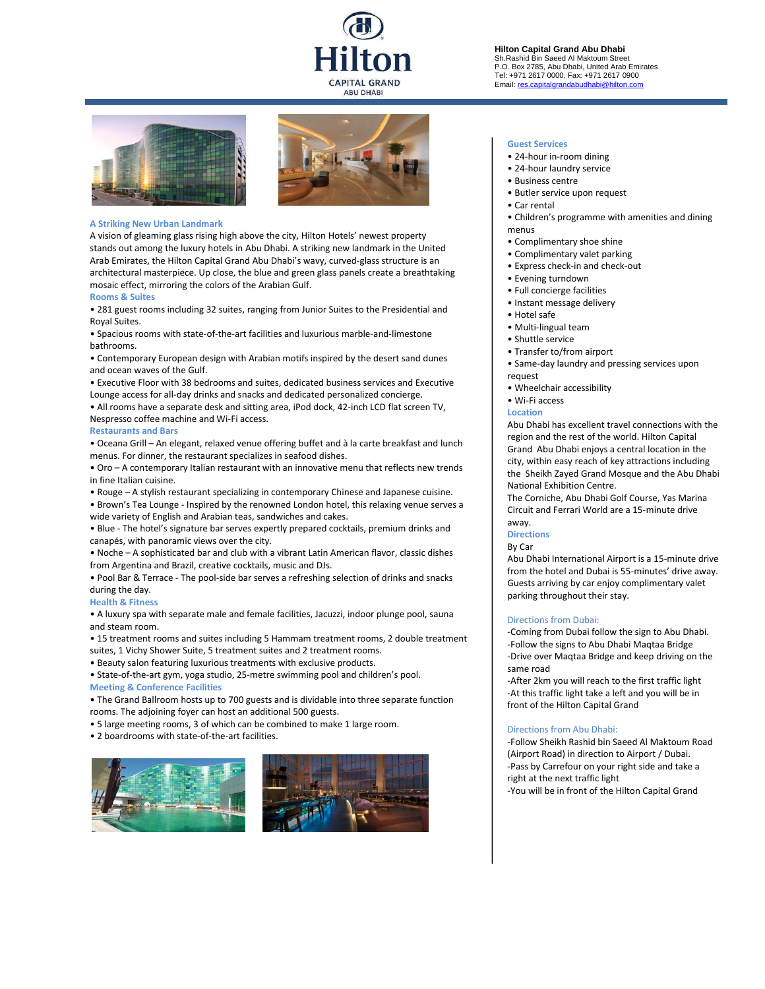# **CAPITAL GRAND ABU DHABI**





#### **A Striking New Urban Landmark**

A vision of gleaming glass rising high above the city, Hilton Hotels' newest property stands out among the luxury hotels in Abu Dhabi. A striking new landmark in the United Arab Emirates, the Hilton Capital Grand Abu Dhabi's wavy, curved-glass structure is an architectural masterpiece. Up close, the blue and green glass panels create a breathtaking mosaic effect, mirroring the colors of the Arabian Gulf.

# **Rooms & Suites**

• 281 guest rooms including 32 suites, ranging from Junior Suites to the Presidential and Royal Suites.

• Spacious rooms with state-of-the-art facilities and luxurious marble-and-limestone bathrooms.

• Contemporary European design with Arabian motifs inspired by the desert sand dunes and ocean waves of the Gulf.

• Executive Floor with 38 bedrooms and suites, dedicated business services and Executive Lounge access for all-day drinks and snacks and dedicated personalized concierge.

• All rooms have a separate desk and sitting area, iPod dock, 42-inch LCD flat screen TV, Nespresso coffee machine and Wi-Fi access.

# **Restaurants and Bars**

• Oceana Grill – An elegant, relaxed venue offering buffet and à la carte breakfast and lunch menus. For dinner, the restaurant specializes in seafood dishes.

• Oro – A contemporary Italian restaurant with an innovative menu that reflects new trends in fine Italian cuisine.

• Rouge – A stylish restaurant specializing in contemporary Chinese and Japanese cuisine.

• Brown's Tea Lounge - Inspired by the renowned London hotel, this relaxing venue serves a wide variety of English and Arabian teas, sandwiches and cakes.

• Blue - The hotel's signature bar serves expertly prepared cocktails, premium drinks and canapés, with panoramic views over the city.

• Noche – A sophisticated bar and club with a vibrant Latin American flavor, classic dishes from Argentina and Brazil, creative cocktails, music and DJs.

• Pool Bar & Terrace - The pool-side bar serves a refreshing selection of drinks and snacks during the day.

# **Health & Fitness**

• A luxury spa with separate male and female facilities, Jacuzzi, indoor plunge pool, sauna and steam room.

• 15 treatment rooms and suites including 5 Hammam treatment rooms, 2 double treatment suites, 1 Vichy Shower Suite, 5 treatment suites and 2 treatment rooms.

• Beauty salon featuring luxurious treatments with exclusive products.

• State-of-the-art gym, yoga studio, 25-metre swimming pool and children's pool. **Meeting & Conference Facilities**

• The Grand Ballroom hosts up to 700 guests and is dividable into three separate function rooms. The adjoining foyer can host an additional 500 guests.

• 5 large meeting rooms, 3 of which can be combined to make 1 large room.

• 2 boardrooms with state-of-the-art facilities.





#### **Hilton Capital Grand Abu Dhabi** Sh.Rashid Bin Saeed Al Maktoum Street P.O. Box 2785, Abu Dhabi, United Arab Emirates Tel: +971 2617 0000, Fax: +971 2617 0900 Email: res.c

#### **Guest Services**

- 24-hour in-room dining
- 24-hour laundry service
- Business centre
- Butler service upon request
- Car rental
- Children's programme with amenities and dining menus
- Complimentary shoe shine
- Complimentary valet parking
- Express check-in and check-out
- Evening turndown
- Full concierge facilities
- Instant message delivery
- Hotel safe
- Multi-lingual team
- Shuttle service
- Transfer to/from airport
- Same-day laundry and pressing services upon request
- Wheelchair accessibility
- Wi-Fi access

#### **Location**

Abu Dhabi has excellent travel connections with the region and the rest of the world. Hilton Capital Grand Abu Dhabi enjoys a central location in the city, within easy reach of key attractions including the Sheikh Zayed Grand Mosque and the Abu Dhabi National Exhibition Centre.

The Corniche, Abu Dhabi Golf Course, Yas Marina Circuit and Ferrari World are a 15-minute drive away.

# **Directions**

By Car

Abu Dhabi International Airport is a 15-minute drive from the hotel and Dubai is 55-minutes' drive away. Guests arriving by car enjoy complimentary valet parking throughout their stay.

### Directions from Dubai:

-Coming from Dubai follow the sign to Abu Dhabi. -Follow the signs to Abu Dhabi Maqtaa Bridge -Drive over Maqtaa Bridge and keep driving on the same road

-After 2km you will reach to the first traffic light -At this traffic light take a left and you will be in front of the Hilton Capital Grand

#### Directions from Abu Dhabi:

-Follow Sheikh Rashid bin Saeed Al Maktoum Road (Airport Road) in direction to Airport / Dubai. -Pass by Carrefour on your right side and take a right at the next traffic light -You will be in front of the Hilton Capital Grand